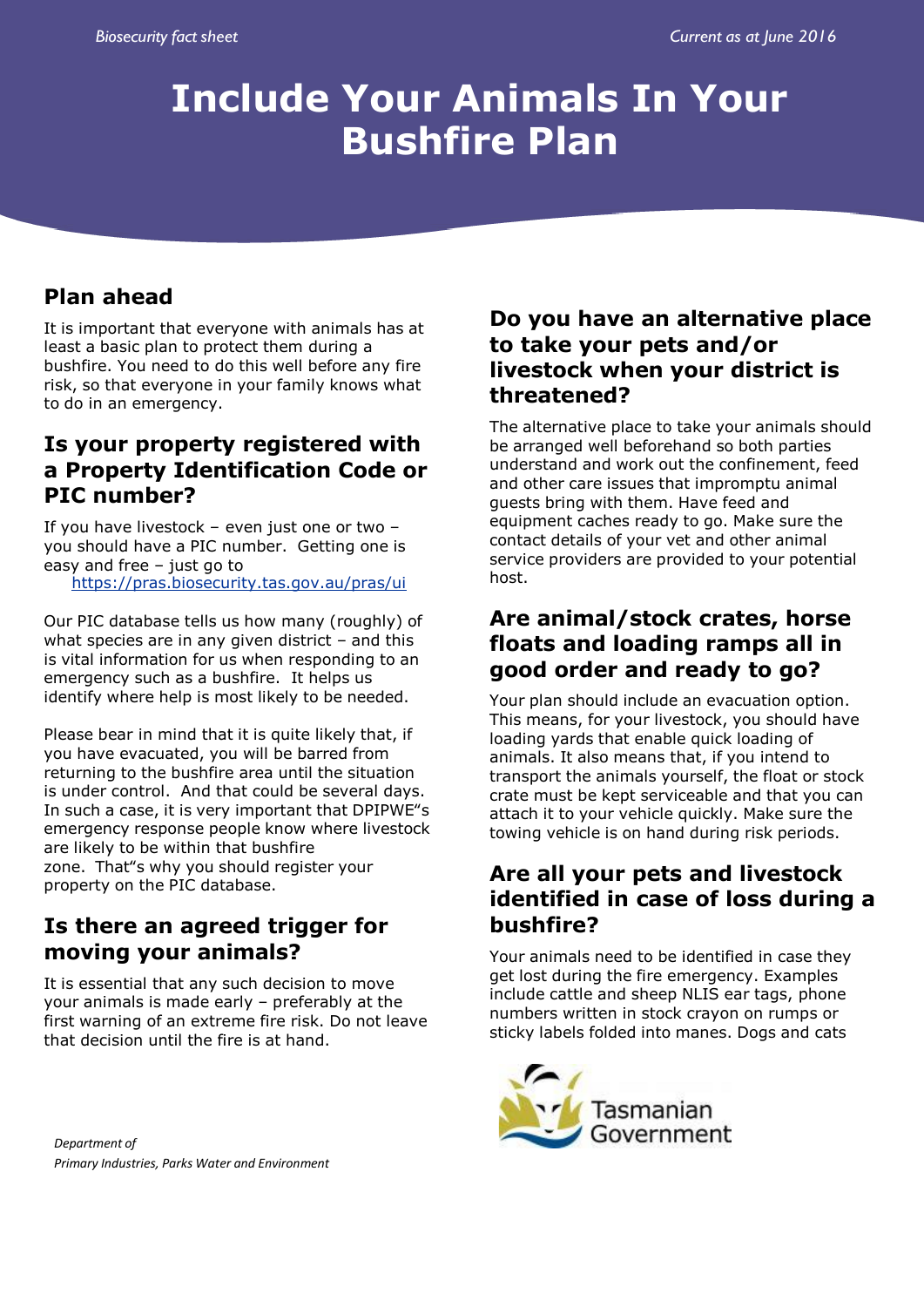# **Include Your Animals In Your Bushfire Plan**

# **Plan ahead**

It is important that everyone with animals has at least a basic plan to protect them during a bushfire. You need to do this well before any fire risk, so that everyone in your family knows what to do in an emergency.

#### **Is your property registered with a Property Identification Code or PIC number?**

If you have livestock – even just one or two – you should have a PIC number. Getting one is easy and free – just go to

<https://pras.biosecurity.tas.gov.au/pras/ui>

Our PIC database tells us how many (roughly) of what species are in any given district – and this is vital information for us when responding to an emergency such as a bushfire. It helps us identify where help is most likely to be needed.

Please bear in mind that it is quite likely that, if you have evacuated, you will be barred from returning to the bushfire area until the situation is under control. And that could be several days. In such a case, it is very important that DPIPWE"s emergency response people know where livestock are likely to be within that bushfire zone. That"s why you should register your property on the PIC database.

#### **Is there an agreed trigger for moving your animals?**

It is essential that any such decision to move your animals is made early – preferably at the first warning of an extreme fire risk. Do not leave that decision until the fire is at hand.

#### **Do you have an alternative place to take your pets and/or livestock when your district is threatened?**

The alternative place to take your animals should be arranged well beforehand so both parties understand and work out the confinement, feed and other care issues that impromptu animal guests bring with them. Have feed and equipment caches ready to go. Make sure the contact details of your vet and other animal service providers are provided to your potential host.

### **Are animal/stock crates, horse floats and loading ramps all in good order and ready to go?**

Your plan should include an evacuation option. This means, for your livestock, you should have loading yards that enable quick loading of animals. It also means that, if you intend to transport the animals yourself, the float or stock crate must be kept serviceable and that you can attach it to your vehicle quickly. Make sure the towing vehicle is on hand during risk periods.

#### **Are all your pets and livestock identified in case of loss during a bushfire?**

Your animals need to be identified in case they get lost during the fire emergency. Examples include cattle and sheep NLIS ear tags, phone numbers written in stock crayon on rumps or sticky labels folded into manes. Dogs and cats